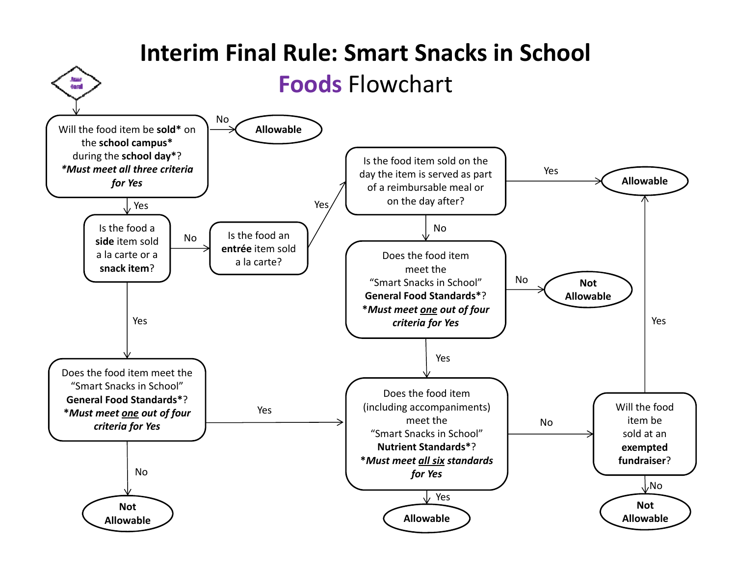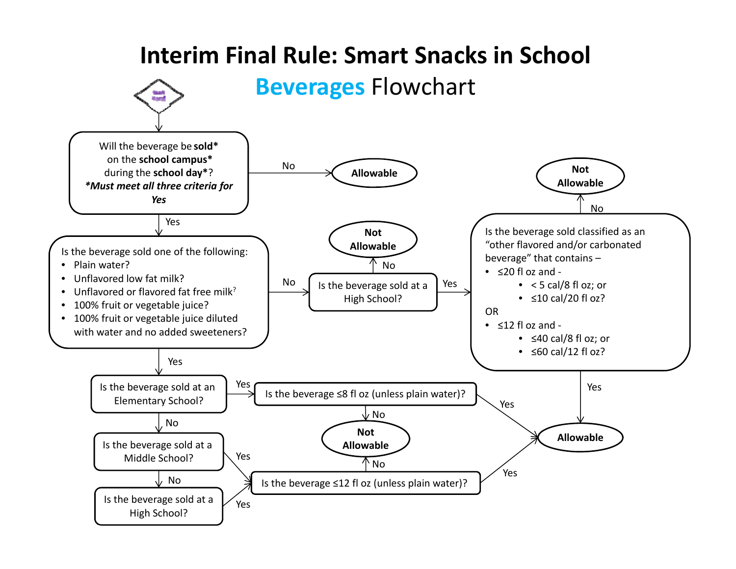